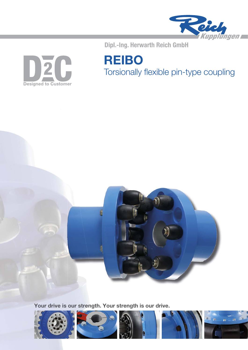

 $D\bar{z}$ C **Designed to Customer**  Dipl.-Ing. Herwarth Reich GmbH

**REIBO** Torsionally flexible pin-type coupling



**Your drive is our strength. Your strength is our drive.**

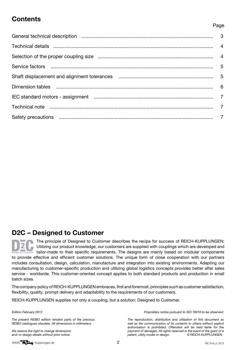## **Contents**

#### Page

| Technical note music music contract contract and the contract of the contract of the contract of the contract of the contract of the contract of the contract of the contract of the contract of the contract of the contract |  |
|-------------------------------------------------------------------------------------------------------------------------------------------------------------------------------------------------------------------------------|--|
|                                                                                                                                                                                                                               |  |

## **D2C – Designed to Customer**

The principle of Designed to Customer describes the recipe for success of REICH-KUPPLUNGEN: Utilizing our product knowledge, our customers are supplied with couplings which are developed and  $\frac{1}{10}$  tailor-made to their specific requirements. The designs are mainly based on modular components to provide effective and efficient customer solutions. The unique form of close cooperation with our partners includes consultation, design, calculation, manufacture and integration into existing environments. Adapting our manufacturing to customer-specific production and utilizing global logistics concepts provides better after sales service - worldwide. This customer-oriented concept applies to both standard products and production in small batch sizes.

The company policy of REICH-KUPPLUNGEN embraces, first and foremost, principles such as customer satisfaction, flexibility, quality, prompt delivery and adaptability to the requirements of our customers.

REICH-KUPPLUNGEN supplies not only a coupling, but a solution: Designed to Customer.

Edition February 2013

The present REIBO edition renders parts of the previous REIBO catalogues obsolete. All dimensions in millimeters.

We reserve the right to change dimensions and / or design details without prior notice.

Proprietary notice pursuant to ISO 16016 to be observed:

The reproduction, distribution and utilization of this document as well as the communication of its contents to others without explicit authorization is prohibited. Offenders will be held liable for the payment of damages. All rights reserved in the event of the grant of a<br>patent, utility model or design. <br>
© REICH-KUPPLUNGEN patent, utility model or design.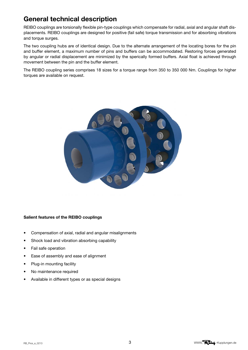## **General technical description**

REIBO couplings are torsionally flexible pin-type couplings which compensate for radial, axial and angular shaft displacements. REIBO couplings are designed for positive (fail safe) torque transmission and for absorbing vibrations and torque surges.

The two coupling hubs are of identical design. Due to the alternate arrangement of the locating bores for the pin and buffer element, a maximum number of pins and buffers can be accommodated. Restoring forces generated by angular or radial displacement are minimized by the sperically formed buffers. Axial float is achieved through movement between the pin and the buffer element.

The REIBO coupling series comprises 18 sizes for a torque range from 350 to 350 000 Nm. Couplings for higher torques are available on request.



#### **Salient features of the REIBO couplings**

- Compensation of axial, radial and angular misalignments
- Shock load and vibration absorbing capability
- Fail safe operation
- Ease of assembly and ease of alignment
- Plug-in mounting facility
- No maintenance required
- Available in different types or as special designs

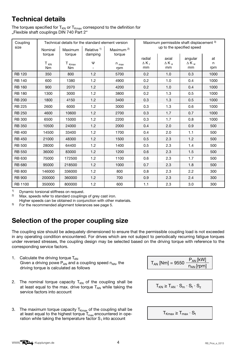## **Technical details**

The torques specified for  $T_{KN}$  or  $T_{Kmax}$  correspond to the definition for "Flexible shaft couplings DIN 740 Part 2"

| Coupling       |                                                                                                |                         |        | Technical details for the standard element version | Maximum permissible shaft displacement 3) |                    |                    |          |  |  |
|----------------|------------------------------------------------------------------------------------------------|-------------------------|--------|----------------------------------------------------|-------------------------------------------|--------------------|--------------------|----------|--|--|
| size           | Relative <sup>1)</sup><br>Maximum $^{2)}$<br>Maximum<br>Nominal<br>damping<br>torque<br>torque |                         | torque | up to the specified speed                          |                                           |                    |                    |          |  |  |
|                |                                                                                                |                         |        |                                                    | radial                                    | axial              | angular            | at       |  |  |
|                | T <sub>KN</sub><br>Nm                                                                          | $T_{Kmax}$<br><b>Nm</b> | Ψ      | $n_{max}$<br>rpm                                   | $\Delta K_r$<br>mm                        | $\Delta K_a$<br>mm | $\Delta K_w$<br>mm | n<br>rpm |  |  |
| <b>RB 120</b>  | 350                                                                                            | 800                     | 1.2    | 5700                                               | 0.2                                       | 1.0                | 0.3                | 1000     |  |  |
| <b>RB 140</b>  | 600                                                                                            | 1380                    | 1.2    | 4900                                               | 0.2                                       | 1.0                | 0.4                | 1000     |  |  |
| <b>RB 160</b>  | 900                                                                                            | 2070                    | 1.2    | 4200                                               | 0.2                                       | 1.0                | 0.4                | 1000     |  |  |
| <b>RB 180</b>  | 1300                                                                                           | 3000                    | 1.2    | 3800                                               | 0.2                                       | 1.3                | 0.5                | 1000     |  |  |
| <b>RB 200</b>  | 1800                                                                                           | 4150                    | 1.2    | 3400                                               | 0.3                                       | 1.3                | 0.5                | 1000     |  |  |
| <b>RB 225</b>  | 2600                                                                                           | 6000                    | 1.2    | 3000                                               | 0.3                                       | 1.3                | 0.6                | 1000     |  |  |
| <b>RB 250</b>  | 4600                                                                                           | 10600                   | 1.2    | 2700                                               | 0.3                                       | 1.7                | 0.7                | 1000     |  |  |
| <b>RB 300</b>  | 6500                                                                                           | 15000                   | 1.2    | 2200                                               | 0.3                                       | 1.7                | 0.8                | 1000     |  |  |
| <b>RB 350</b>  | 10500                                                                                          | 24000                   | 1.2    | 2000                                               | 0.4                                       | 2.0                | 0.9                | 500      |  |  |
| <b>RB 400</b>  | 14500                                                                                          | 33400                   | 1.2    | 1700                                               | 0.4                                       | 2.0                | 1.1                | 500      |  |  |
| <b>RB 450</b>  | 21000                                                                                          | 48300                   | 1.2    | 1500                                               | 0.5                                       | 2.3                | 1.2                | 500      |  |  |
| <b>RB 500</b>  | 28000                                                                                          | 64400                   | 1.2    | 1400                                               | 0.5                                       | 2.3                | 1.4                | 500      |  |  |
| <b>RB 550</b>  | 36000                                                                                          | 83000                   | 1.2    | 1200                                               | 0.6                                       | 2.3                | 1.5                | 500      |  |  |
| <b>RB 630</b>  | 75000                                                                                          | 172500                  | 1.2    | 1100                                               | 0.6                                       | 2.3                | 1.7                | 500      |  |  |
| <b>RB 680</b>  | 95000                                                                                          | 218500                  | 1.2    | 1000                                               | 0.7                                       | 2.3                | 1.8                | 500      |  |  |
| <b>RB 800</b>  | 146000                                                                                         | 336000                  | 1.2    | 800                                                | 0.8                                       | 2.3                | 2.2                | 300      |  |  |
| <b>RB 900</b>  | 200000                                                                                         | 360000                  | 1.2    | 700                                                | 0.9                                       | 2.3                | 2.4                | 300      |  |  |
| <b>RB 1100</b> | 350000                                                                                         | 800000                  | 1.2    | 600                                                | 1.1                                       | 2.3                | 3.0                | 300      |  |  |

<sup>1)</sup> Dynamic torsional stiffness on request.<br><sup>2)</sup> Max, speeds refer to standard coupling

Max. speeds refer to standard couplings of grey cast iron.

Higher speeds can be obtained in conjunction with other materials.<br><sup>3)</sup> For the recommended alignment tolerances see page 5

3) For the recommended alignment tolerances see page 5.

# **Selection of the proper coupling size**

The coupling size should be adequately dimensioned to ensure that the permissible coupling load is not exceeded in any operating condition encountered. For drives which are not subject to periodically recurring fatigue torques under reversed stresses, the coupling design may be selected based on the driving torque with reference to the corresponding service factors.

1. Calculate the driving torque  $T_{AN}$ Given a driving powe  $P_{AN}$  and a coupling speed  $n_{AN}$ , the driving torque is calculated as follows

| $T_{AN}$ [Nm] = 9550 $-$ | $P_{AN}$ [kW]  |
|--------------------------|----------------|
|                          | $n_{AN}$ [rpm] |

- 2. The nominal torque capacity  $T_{KN}$  of the coupling shall be at least equal to the max. drive torque  $T_{AN}$  while taking the service factors into account
- $T_{KN} \geq T_{AN} \cdot S_m \cdot S_t \cdot S_z$
- 3. The maximum torque capacity  $T_{Kmax}$  of the coupling shall be at least equal to the highest torque  $\mathsf{T}_{\mathsf{max}}$  encountered in operation while taking the temperature factor  $S_t$  into account

 $T_{Kmax} \geq T_{max} \cdot S_t$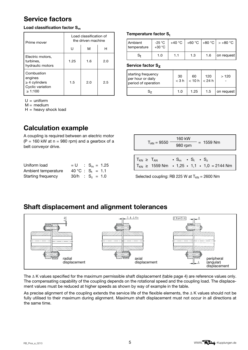## **Service factors**

#### **Load classification factor S<sub>m</sub>**

| Prime mover                                                               | Load classification of<br>the driven machine |     |     |  |  |  |  |
|---------------------------------------------------------------------------|----------------------------------------------|-----|-----|--|--|--|--|
|                                                                           | Ħ                                            | м   | н   |  |  |  |  |
| Electric motors,<br>turbines,<br>hydraulic motors                         | 1.25                                         | 1.6 | 2.0 |  |  |  |  |
| Combustion<br>engines<br>$\geq$ 4 cylinders<br>Cyclic variation<br>>1:100 | 1.5                                          | 2.0 | 2.5 |  |  |  |  |

 $U =$  uniform

 $M = medium$ 

 $H =$  heavy shock load

# **Calculation example**

A coupling is required between an electric motor  $(P = 160$  kW at  $n = 980$  rpm) and a gearbox of a belt conveyor drive.

| Uniform load        |  | $= U$ : $S_m = 1.25$ |
|---------------------|--|----------------------|
| Ambient temperature |  | 40 °C : $S_t = 1.1$  |
| Starting frequency  |  | $30/h$ : $S_z = 1.0$ |

#### **Temperature factor S<sub>t</sub>**

| <b>Ambient</b><br>temperature | -25 °C<br>$+30\text{ °C}$ |     |     |     | +40 °C +60 °C +80 °C +80 °C |
|-------------------------------|---------------------------|-----|-----|-----|-----------------------------|
| S+                            | 1.0                       | 1.1 | 1.3 | 1.6 | on request                  |

#### **Service factor Sz**

| starting frequency<br>per hour or daily<br>period of operation | 30<br>$<$ 3 h | 60<br>$< 10 h$ $  < 24 h$ | 120 | >120       |
|----------------------------------------------------------------|---------------|---------------------------|-----|------------|
|                                                                | 1.0           | 1.25                      | 1.5 | on request |

| recepting to required between an electric motor<br>$(P = 160$ kW at $n = 980$ rpm) and a gearbox of a<br>belt conveyor drive. | 160 kW<br>$= 1559$ Nm<br>$T_{AN} = 9550$<br>980 rpm                                                                                               |
|-------------------------------------------------------------------------------------------------------------------------------|---------------------------------------------------------------------------------------------------------------------------------------------------|
| Uniform load<br>$= U$ : $S_m = 1.25$                                                                                          | $T_{KN} \geq T_{AN}$<br>$\cdot$ S <sub>m</sub> $\cdot$ S <sub>t</sub> $\cdot$ S <sub>z</sub><br>$T_{KN} \ge 1559$ Nm • 1,25 • 1,1 • 1,0 = 2144 Nm |

Selected coupling: RB 225 W at  $T_{KN}$  = 2600 Nm

## **Shaft displacement and alignment tolerances**



The ∆ K values specified for the maximum permissible shaft displacement (table page 4) are reference values only. The compensating capability of the coupling depends on the rotational speed and the coupling load. The displacement values must be reduced at higher speeds as shown by way of example in the table.

As precise alignment of the coupling extends the service life of the flexible elements, the ∆ K values should not be fully utilised to their maximum during alignment. Maximum shaft displacement must not occur in all directions at the same time.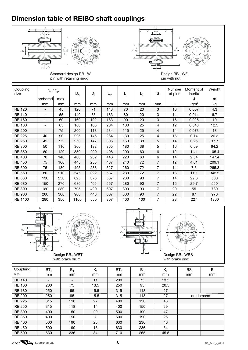## **Dimension table of REIBO shaft couplings**





Standard design RB...W pin with retaining ringg



| Coupling<br>size | $D_1/D_2$                |      | $D_A$ | $D_3$ | ∟w  | $L_1$ | L <sub>2</sub> | S              | Number<br>of pins | Moment of<br>inertia | Weight |
|------------------|--------------------------|------|-------|-------|-----|-------|----------------|----------------|-------------------|----------------------|--------|
|                  | <b>I</b> prebored        | max. |       |       |     |       |                |                |                   | J                    | m      |
|                  | mm                       | mm   | mm    | mm    | mm  | mm    | mm             | mm             | -                 | kgm <sup>2</sup>     | kg     |
| <b>RB 120</b>    |                          | 45   | 120   | 71    | 143 | 70    | 20             | 3              | 10                | 0.007                | 4.3    |
| <b>RB 140</b>    | $\overline{\phantom{0}}$ | 55   | 140   | 85    | 163 | 80    | 20             | 3              | 14                | 0.014                | 6.7    |
| <b>RB 160</b>    | $\overline{\phantom{0}}$ | 60   | 160   | 102   | 183 | 90    | 20             | 3              | 16                | 0.026                | 10     |
| <b>RB 180</b>    | -                        | 65   | 180   | 103   | 204 | 100   | 25             | 4              | 12                | 0.043                | 12.5   |
| <b>RB 200</b>    |                          | 75   | 200   | 118   | 234 | 115   | 25             | 4              | 14                | 0.073                | 18     |
| <b>RB 225</b>    | 40                       | 90   | 225   | 145   | 264 | 130   | 25             | 4              | 16                | 0.14                 | 26.3   |
| <b>RB 250</b>    | 45                       | 95   | 250   | 147   | 305 | 150   | 38             | 5              | 14                | 0.25                 | 37.7   |
| <b>RB 300</b>    | 50                       | 110  | 300   | 182   | 365 | 180   | 38             | 5              | 16                | 0.59                 | 64.2   |
| <b>RB 350</b>    | 60                       | 120  | 350   | 200   | 406 | 200   | 60             | 6              | 12                | 1.41                 | 105.4  |
| <b>RB 400</b>    | 70                       | 140  | 400   | 232   | 446 | 220   | 60             | 6              | 14                | 2.54                 | 147.4  |
| <b>RB 450</b>    | 75                       | 160  | 445   | 253   | 487 | 240   | 72             | $\overline{7}$ | 12                | 4.61                 | 209.1  |
| <b>RB 500</b>    | 75                       | 180  | 495   | 288   | 527 | 260   | 72             | $\overline{7}$ | 14                | 7.3                  | 265.8  |
| <b>RB 550</b>    | 80                       | 210  | 545   | 322   | 567 | 280   | 72             | $\overline{7}$ | 16                | 11.1                 | 342.2  |
| <b>RB 630</b>    | 130                      | 250  | 625   | 375   | 567 | 280   | 90             | 7              | 14                | 22.3                 | 500    |
| <b>RB 680</b>    | 150                      | 270  | 680   | 405   | 567 | 280   | 90             | $\overline{7}$ | 16                | 29.7                 | 550    |
| <b>RB 800</b>    | 180                      | 280  | 795   | 420   | 607 | 300   | 90             | $\overline{7}$ | 20                | 55                   | 780    |
| <b>RB 900</b>    | 200                      | 300  | 900   | 448   | 607 | 300   | 90             | $\overline{7}$ | 22                | 87                   | 970    |
| <b>RB 1100</b>   | 280                      | 350  | 1100  | 550   | 807 | 400   | 100            | 7              | 28                | 227                  | 1800   |





with brake drum





with brake disc

| Couplung      | BT <sub>1</sub>          | $B_1$ | $K_1$ | BT <sub>2</sub> | B <sub>2</sub> | $K_2$         | <b>BS</b> | B  |
|---------------|--------------------------|-------|-------|-----------------|----------------|---------------|-----------|----|
| size          | mm                       | mm    | mm    | mm              | mm             | <sub>mm</sub> | mm        | mm |
| <b>RB 140</b> | $\overline{\phantom{0}}$ |       | 11    | 200             | 75             | 13.5          |           |    |
| <b>RB 160</b> | 200                      | 75    | 13.5  | 250             | 95             | 20.5          |           |    |
| <b>RB 180</b> | 250                      | 95    | 15.5  | 315             | 118            | 27            |           |    |
| <b>RB 200</b> | 250                      | 95    | 15.5  | 315             | 118            | 27            | on demand |    |
| <b>RB 225</b> | 315                      | 118   | 27    | 400             | 150            | 43            |           |    |
| <b>RB 250</b> | 315                      | 118   | 14    | 400             | 150            | 29            |           |    |
| <b>RB 300</b> | 400                      | 150   | 29    | 500             | 190            | 47            |           |    |
| <b>RB 350</b> | 400                      | 150   | 7     | 500             | 190            | 25            |           |    |
| <b>RB 400</b> | 500                      | 190   | 25    | 630             | 236            | 46            |           |    |
| <b>RB 450</b> | 500                      | 190   | 13    | 630             | 236            | 34            |           |    |
| <b>RB 500</b> | 630                      | 236   | 34    | 710             | 265            | 45.5          |           |    |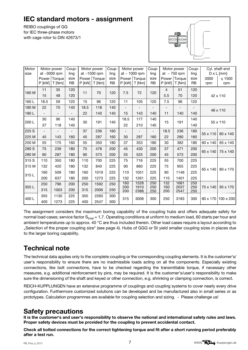## **IEC standard motors - assignment**

REIBO couplings of GG for IEC three-phase motors with cage rotor to DIN 42673/1



| Motor<br>size |                          | Motor power<br>at $\sim$ 3000 rpm | Coup-<br>ling     |          | Motor power<br>at $~1500$ rpm | Coup-<br>ling     |                          | Motor power<br>at $\sim$ 1000 rpm | Coup-<br>ling     |            | Motor power<br>at $\sim$ 750 rpm | Coup-<br>ling     |             | Cyl. shaft end<br>$D \times L$ [mm] |
|---------------|--------------------------|-----------------------------------|-------------------|----------|-------------------------------|-------------------|--------------------------|-----------------------------------|-------------------|------------|----------------------------------|-------------------|-------------|-------------------------------------|
|               | P [kW]                   | Power Torque<br>$T$ [Nm]          | size<br><b>RB</b> | $P$ [kW] | Power Torque<br>$T$ [Nm]      | size<br><b>RB</b> | P [kW]                   | Power Torque<br>$T$ [Nm]          | size<br><b>RB</b> | P [kW]     | Power Torque<br>$T$ [Nm]         | size<br><b>RB</b> | 3000<br>rpm | $\leq 1500$<br>rpm                  |
| 160 M         | 11                       | 35                                | 120               | 11       | 70                            | 120               | 7.5                      | 72                                | 120               | 4          | 51                               | 120               |             |                                     |
|               | 15                       | 48                                | 120               |          |                               |                   |                          |                                   |                   | 5.5        | 70                               | 120               |             | 42 x 110                            |
| 160L          | 18.5                     | 59                                | 120               | 15       | 96                            | 120               | 11                       | 105                               | 120               | 7.5        | 96                               | 120               |             |                                     |
| 180 M         | 22                       | 70                                | 140               | 18.5     | 118                           | 140               | $\overline{\phantom{a}}$ |                                   |                   |            |                                  |                   |             | 48 x 110                            |
| 180L          |                          |                                   |                   | 22       | 140                           | 140               | 15                       | 143                               | 140               | 11         | 140                              | 140               |             |                                     |
| 200L          | 30                       | 96                                | 140               | 30       | 191                           | 140               | 18.5                     | 177                               | 140               | 15         | 191                              | 140               |             |                                     |
|               | 37                       | 118                               | 140               |          |                               |                   | 22                       | 210                               | 140               |            |                                  | 140               | 55 x 110    |                                     |
| 225 S         | $\overline{\phantom{a}}$ |                                   |                   | 37       | 236                           | 160               | -                        |                                   | $\overline{a}$    | 18.5       | 236                              | 160               |             | 60 x 140                            |
| 225 M         | 45                       | 143                               | 160               | 45       | 287                           | 160               | 30                       | 287                               | 160               | 22         | 280                              | 160               | 55 x 110    |                                     |
| 250 M         | 55                       | 175                               | 160               | 55       | 350                           | 180               | 37                       | 353                               | 180               | 30         | 382                              | 180               | 60 x 140    | 65 x 140                            |
| 280 S         | 75                       | 239                               | 180               | 75       | 478                           | 200               | 45                       | 430                               | 200               | 37         | 471                              | 200               |             |                                     |
| 280 M         | 90                       | 287                               | 180               | 90       | 573                           | 200               | 55                       | 525                               | 200               | 45         | 573                              | 200               | 65 x 140    | 75 x 140                            |
| 315 S         | 110                      | 350                               | 180               | 110      | 700                           | 225               | 75                       | 716                               | 225               | 55         | 700                              | 225               |             |                                     |
| 315 M         | 132                      | 420                               | 180               | 132      | 840                           | 225               | 90                       | 860                               | 225               | 75         | 955                              | 225               |             |                                     |
|               | 160                      | 509                               | 180               | 160      | 1019                          | 225               | 110                      | 1051                              | 225               | 90         | 1146                             | 225               | 65 x 140    | 80 x 170                            |
| 315L          | 200                      | 637                               | 180               | 200      | 1273                          | 225               | 132                      | 1261                              | 225               | 110        | 1401                             | 225               |             |                                     |
|               | 250                      | 796                               | 200               | 250      | 1592                          | 250               | 160                      | 1528                              | 250               | 132        | 1681                             | 250               |             |                                     |
| 355L          | 315                      | 1003                              | 200               | 315      | 2006                          | 250               | 200<br>200               | 1910<br>2388                      | 250<br>250        | 160<br>200 | 2037<br>2547                     | 250<br>250        | 75 x 140    | 95 x 170                            |
|               | 355                      | 1130                              | 225               | 355      | 2260                          | 300               |                          |                                   |                   |            |                                  |                   |             |                                     |
| 400L          | 400                      | 1273                              | 225               | 400      | 2547                          | 300               | 315                      | 3008                              | 300               | 250        | 3183                             | 300               | 80 x 170    | $100 \times 200$                    |

The assignment considers the maximum boring capability of the coupling hubs and offers adequate safety for normal load cases; service factor  $S_{total} = 1.7$ . Operating conditions at uniform to medium load, 60 starts per hour and ambient temperatures up to approx. 40 °C are thus included therein. Other load cases require a layout according to "Selection of the proper coupling size" (see page 4). Hubs of GGG or St yield smaller coupling sizes in places due to the larger boring capability.

## **Technical note**

The technical data applies only to the complete coupling or the corresponding coupling elements. It is the customer's/ user's responsibility to ensure there are no inadmissible loads acting on all the components. Especially existing connections, like bolt connections, have to be checked regarding the transmittable torque, if necessary other measures, e.g. additional reinforcement by pins, may be required. It is the customer's/user's responsibility to make sure the dimensioning of the shaft and keyed or other connection, e.g. shrinking or clamping connection, is correct.

REICH-KUPPLUNGEN have an extensive programme of couplings and coupling systems to cover nearly every drive configuration. Furthermore customized solutions can be developed and be manufactured also in small series or as prototypes. Calculation programmes are available for coupling selection and sizing. - Please challenge us!

### **Safety precautions**

**lt is the customer's and user's responsibility to observe the national and international safety rules and laws. Proper safety devices must be provided for the coupling to prevent accidental contact.**

Check all bolted connections for the correct tightening torque and fit after a short running period preferably **after a test run.**